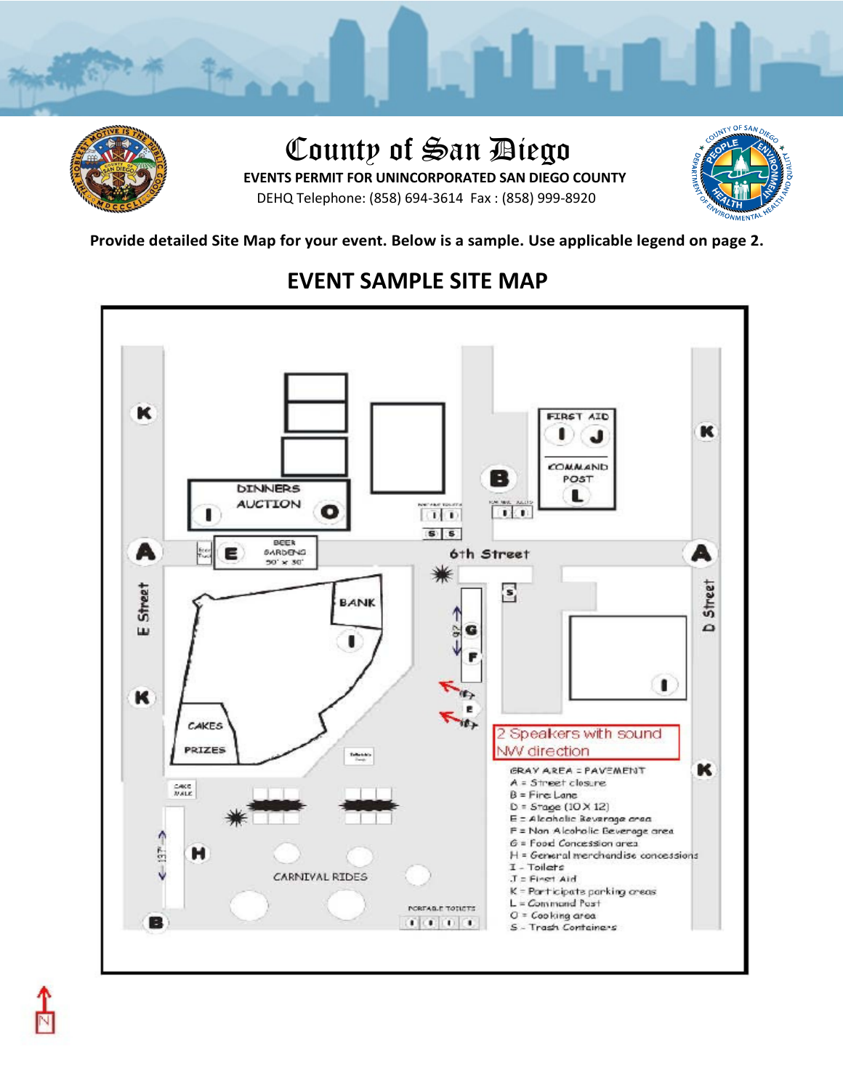

## County of San Diego

 **EVENTS PERMIT FOR UNINCORPORATED SAN DIEGO COUNTY**  DEHQ Telephone: (858) 694-3614 Fax : (858) 999-8920



## **Provide detailed Site Map for your event. Below is a sample. Use applicable legend on page 2.**



## **EVENT SAMPLE SITE MAP**